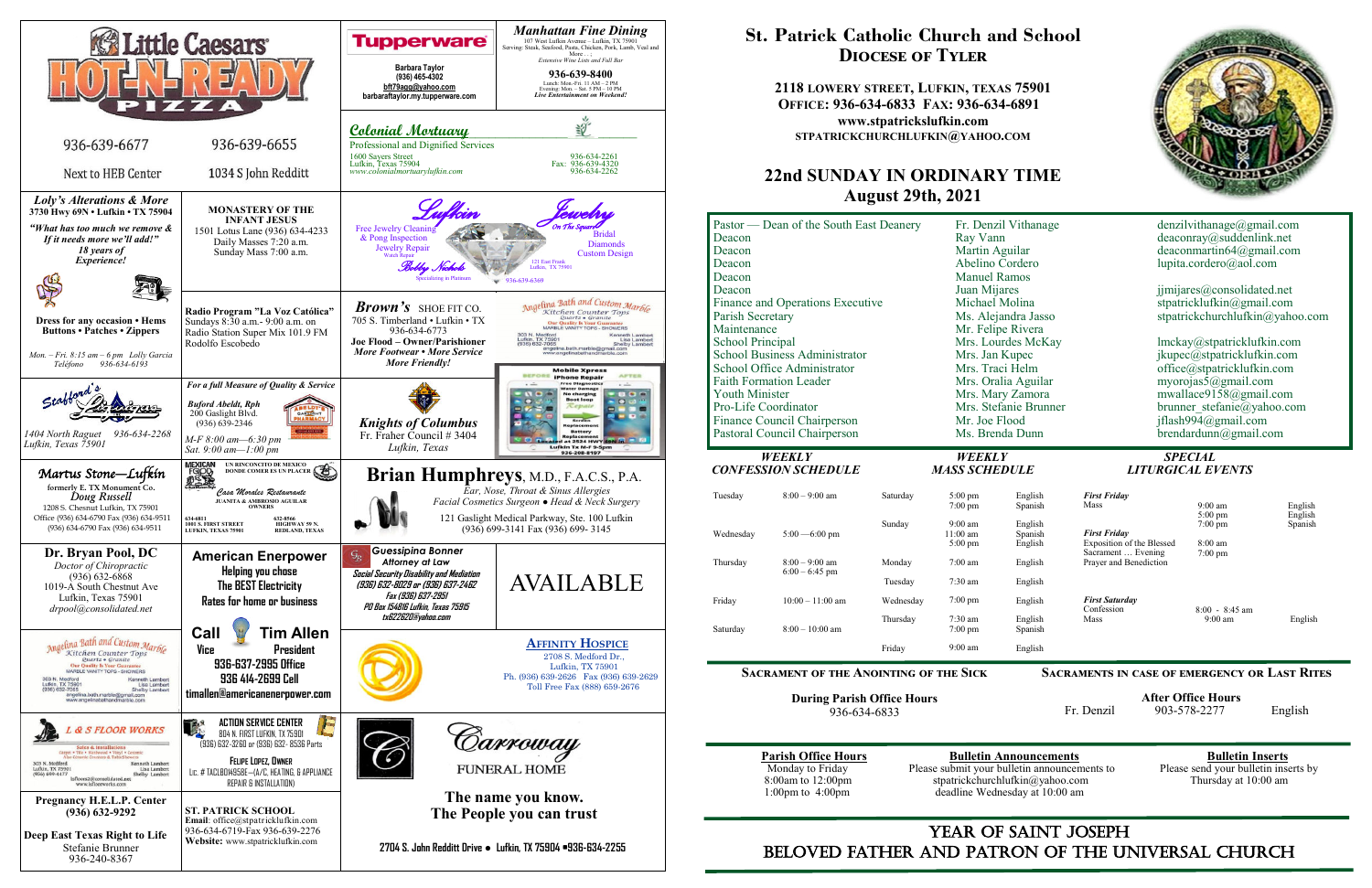

### YEAR OF SAINT JOSEPH beloved father AND Patron of the Universal Church

## **St. Patrick Catholic Church and School Diocese of Tyler**

**2118 LOWERY STREET, LUFKIN, TEXAS 75901 OFFICE: 936-634-6833 FAX: 936-634-6891 www.stpatrickslufkin.com STPATRICKCHURCHLUFKIN@YAHOO.COM**

### **22nd SUNDAY IN ORDINARY TIME August 29th, 2021**

| Pastor — Dean of the South East Deanery | Fr. Denzil Vithanage  | denzilvithanage@gmail.com       |
|-----------------------------------------|-----------------------|---------------------------------|
| Deacon                                  | Ray Vann              | deaconray@suddenlink.net        |
| Deacon                                  | Martin Aguilar        | deaconmartin64@gmail.com        |
| Deacon                                  | Abelino Cordero       | lupita.cordero@aol.com          |
| Deacon                                  | <b>Manuel Ramos</b>   |                                 |
| Deacon                                  | Juan Mijares          | jjmijares@consolidated.net      |
| <b>Finance and Operations Executive</b> | Michael Molina        | stpatricklufkin@gmail.com       |
| Parish Secretary                        | Ms. Alejandra Jasso   | stpatrickchurchlufkin@yahoo.com |
| Maintenance                             | Mr. Felipe Rivera     |                                 |
| <b>School Principal</b>                 | Mrs. Lourdes McKay    | lmckay@stpatricklufkin.com      |
| <b>School Business Administrator</b>    | Mrs. Jan Kupec        | jkupec@stpatricklufkin.com      |
| School Office Administrator             | Mrs. Traci Helm       | office@stpatricklufkin.com      |
| <b>Faith Formation Leader</b>           | Mrs. Oralia Aguilar   | myorojas $5@g$ mail.com         |
| <b>Youth Minister</b>                   | Mrs. Mary Zamora      | mwallace9158@gmail.com          |
| Pro-Life Coordinator                    | Mrs. Stefanie Brunner | brunner stefanie@yahoo.com      |
| <b>Finance Council Chairperson</b>      | Mr. Joe Flood         | jflash994@gmail.com             |
| Pastoral Council Chairperson            | Ms. Brenda Dunn       | $b$ rendardunn@gmail.com        |

| Pastor — Dean of the South East Deanery<br>Deacon<br>Deacon<br>Deacon<br>Deacon<br>Deacon<br>Finance and Operations Executive<br>Parish Secretary<br>Maintenance<br><b>School Principal</b><br><b>School Business Administrator</b><br>School Office Administrator<br><b>Faith Formation Leader</b><br>Youth Minister<br>Pro-Life Coordinator<br>Finance Council Chairperson |                                             | Fr. Denzil Vithanage<br>Ray Vann<br>Martin Aguilar<br>Abelino Cordero<br><b>Manuel Ramos</b><br>Juan Mijares<br>Michael Molina<br>Ms. Alejandra Jasso<br>Mr. Felipe Rivera<br>Mrs. Lourdes McKay<br>Mrs. Jan Kupec<br>Mrs. Traci Helm<br>Mrs. Oralia Aguilar<br>Mrs. Mary Zamora<br>Mrs. Stefanie Brunner<br>Mr. Joe Flood |                                                      | denzilvithanage@gmail.com<br>deaconray@suddenlink.net<br>deaconmartin $64@g$ mail.com<br>lupita.cordero@aol.com<br>jjmijares@consolidated.net<br>stpatricklufkin@gmail.com<br>stpatrickchurchlufkin@yahoo.<br>lmckay@stpatricklufkin.com<br>jkupec@stpatricklufkin.com<br>office@stpatricklufkin.com<br>myorojas5@gmail.com<br>mwallace9158@gmail.com<br>brunner stefanie@yahoo.com |                                                                        |                                                   |              |
|------------------------------------------------------------------------------------------------------------------------------------------------------------------------------------------------------------------------------------------------------------------------------------------------------------------------------------------------------------------------------|---------------------------------------------|----------------------------------------------------------------------------------------------------------------------------------------------------------------------------------------------------------------------------------------------------------------------------------------------------------------------------|------------------------------------------------------|-------------------------------------------------------------------------------------------------------------------------------------------------------------------------------------------------------------------------------------------------------------------------------------------------------------------------------------------------------------------------------------|------------------------------------------------------------------------|---------------------------------------------------|--------------|
| Pastoral Council Chairperson                                                                                                                                                                                                                                                                                                                                                 |                                             |                                                                                                                                                                                                                                                                                                                            | Ms. Brenda Dunn                                      |                                                                                                                                                                                                                                                                                                                                                                                     | jflash994@gmail.com<br>$b$ rendardunn $(a)$ gmail.com                  |                                                   |              |
|                                                                                                                                                                                                                                                                                                                                                                              | <b>WEEKLY</b><br><b>CONFESSION SCHEDULE</b> |                                                                                                                                                                                                                                                                                                                            | <b>WEEKLY</b><br><b>MASS SCHEDULE</b>                |                                                                                                                                                                                                                                                                                                                                                                                     |                                                                        | <b>SPECIAL</b><br><b>LITURGICAL EVENTS</b>        |              |
| Tuesday                                                                                                                                                                                                                                                                                                                                                                      | $8:00 - 9:00$ am                            | Saturday                                                                                                                                                                                                                                                                                                                   | $5:00 \text{ pm}$<br>$7:00 \text{ pm}$               | English<br>Spanish                                                                                                                                                                                                                                                                                                                                                                  | <b>First Friday</b><br>Mass                                            | $9:00$ am<br>$5:00 \text{ pm}$                    | Engl<br>Engl |
| Wednesday                                                                                                                                                                                                                                                                                                                                                                    | $5:00 - 6:00$ pm                            | Sunday                                                                                                                                                                                                                                                                                                                     | $9:00 \text{ am}$<br>$11:00 \text{ am}$<br>$5:00$ pm | English<br>Spanish<br>English                                                                                                                                                                                                                                                                                                                                                       | <b>First Friday</b><br>Exposition of the Blessed<br>Sacrament  Evening | $7:00 \text{ pm}$<br>8:00 am<br>$7:00 \text{ pm}$ | Span         |
| Thursday                                                                                                                                                                                                                                                                                                                                                                     | $8:00 - 9:00$ am<br>$6:00 - 6:45$ pm        | Monday                                                                                                                                                                                                                                                                                                                     | $7:00$ am                                            | English                                                                                                                                                                                                                                                                                                                                                                             | Prayer and Benediction                                                 |                                                   |              |
|                                                                                                                                                                                                                                                                                                                                                                              |                                             | Tuesday                                                                                                                                                                                                                                                                                                                    | $7:30$ am                                            | English                                                                                                                                                                                                                                                                                                                                                                             |                                                                        |                                                   |              |
| Friday                                                                                                                                                                                                                                                                                                                                                                       | $10:00 - 11:00$ am                          | Wednesday                                                                                                                                                                                                                                                                                                                  | $7:00 \text{ pm}$                                    | English                                                                                                                                                                                                                                                                                                                                                                             | <b>First Saturday</b><br>Confession                                    | $8:00 - 8:45$ am                                  |              |
| Saturday                                                                                                                                                                                                                                                                                                                                                                     | $8:00 - 10:00$ am                           | Thursday                                                                                                                                                                                                                                                                                                                   | $7:30$ am<br>$7:00$ pm                               | English<br>Spanish                                                                                                                                                                                                                                                                                                                                                                  | Mass                                                                   | $9:00 \text{ am}$                                 | Eng          |
|                                                                                                                                                                                                                                                                                                                                                                              |                                             | Friday                                                                                                                                                                                                                                                                                                                     | $9:00$ am                                            | English                                                                                                                                                                                                                                                                                                                                                                             |                                                                        |                                                   |              |
| <b>SACRAMENT OF THE ANOINTING OF THE SICK</b><br><b>SACRAMENTS IN CASE OF EMERGENCY OR LAST F</b>                                                                                                                                                                                                                                                                            |                                             |                                                                                                                                                                                                                                                                                                                            |                                                      |                                                                                                                                                                                                                                                                                                                                                                                     |                                                                        |                                                   |              |

**During Parish Office Hours**  936-634-6833

**Parish Office Hours**<br>Monday to Friday **Please submit your bulletin announcements** to Please send your bulletin inserts by Monday to Friday Please submit your bulletin announcements to 8:00am to 12:00pm stratrickchurchlufkin@yahoo.com 8:00am to 12:00pm stpatrickchurchlufkin@yahoo.com Thursday at 10:00 am 1:00pm to 4:00pm deadline Wednesday at 10:00 am deadline Wednesday at 10:00 am



#### **Sacraments in case of emergency or Last Rites**

 **After Office Hours**  Fr. Denzil 903-578-2277 English

# *CONFESSION SCHEDULE MASS SCHEDULE LITURGICAL EVENTS*

| English            | <b>First Friday</b>                 |                                       |         |
|--------------------|-------------------------------------|---------------------------------------|---------|
| Spanish            | Mass                                | $9:00 \text{ am}$                     | English |
|                    |                                     | $5:00 \text{ pm}$                     | English |
| English            |                                     | $7:00 \text{ pm}$                     | Spanish |
| Spanish            | <b>First Friday</b>                 |                                       |         |
| English            | Exposition of the Blessed           | $8:00 \text{ am}$                     |         |
|                    | Sacrament  Evening                  | $7:00 \text{ pm}$                     |         |
| English            | Prayer and Benediction              |                                       |         |
| English            |                                     |                                       |         |
| English            | <b>First Saturday</b><br>Confession |                                       |         |
| English<br>Spanish | Mass                                | $8:00 - 8:45$ am<br>$9:00 \text{ am}$ | English |
| English            |                                     |                                       |         |